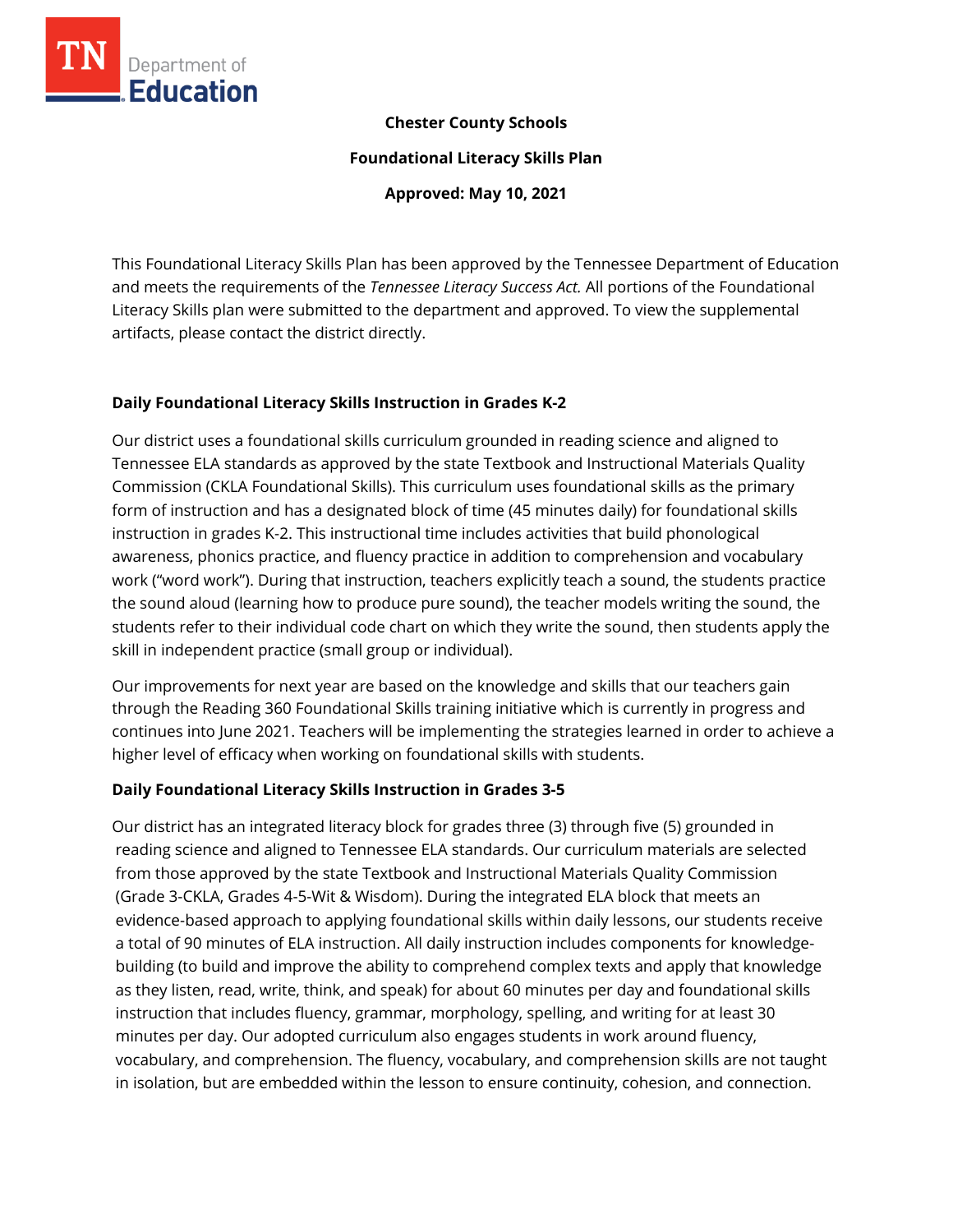

### **Chester County Schools**

**Foundational Literacy Skills Plan**

**Approved: May 10, 2021**

This Foundational Literacy Skills Plan has been approved by the Tennessee Department of Education and meets the requirements of the *Tennessee Literacy Success Act.* All portions of the Foundational Literacy Skills plan were submitted to the department and approved. To view the supplemental artifacts, please contact the district directly.

# **Daily Foundational Literacy Skills Instruction in Grades K-2**

Our district uses a foundational skills curriculum grounded in reading science and aligned to Tennessee ELA standards as approved by the state Textbook and Instructional Materials Quality Commission (CKLA Foundational Skills). This curriculum uses foundational skills as the primary form of instruction and has a designated block of time (45 minutes daily) for foundational skills instruction in grades K-2. This instructional time includes activities that build phonological awareness, phonics practice, and fluency practice in addition to comprehension and vocabulary work ("word work"). During that instruction, teachers explicitly teach a sound, the students practice the sound aloud (learning how to produce pure sound), the teacher models writing the sound, the students refer to their individual code chart on which they write the sound, then students apply the skill in independent practice (small group or individual).

Our improvements for next year are based on the knowledge and skills that our teachers gain through the Reading 360 Foundational Skills training initiative which is currently in progress and continues into June 2021. Teachers will be implementing the strategies learned in order to achieve a higher level of efficacy when working on foundational skills with students.

#### **Daily Foundational Literacy Skills Instruction in Grades 3-5**

Our district has an integrated literacy block for grades three (3) through five (5) grounded in reading science and aligned to Tennessee ELA standards. Our curriculum materials are selected from those approved by the state Textbook and Instructional Materials Quality Commission (Grade 3-CKLA, Grades 4-5-Wit & Wisdom). During the integrated ELA block that meets an evidence-based approach to applying foundational skills within daily lessons, our students receive a total of 90 minutes of ELA instruction. All daily instruction includes components for knowledgebuilding (to build and improve the ability to comprehend complex texts and apply that knowledge as they listen, read, write, think, and speak) for about 60 minutes per day and foundational skills instruction that includes fluency, grammar, morphology, spelling, and writing for at least 30 minutes per day. Our adopted curriculum also engages students in work around fluency, vocabulary, and comprehension. The fluency, vocabulary, and comprehension skills are not taught in isolation, but are embedded within the lesson to ensure continuity, cohesion, and connection.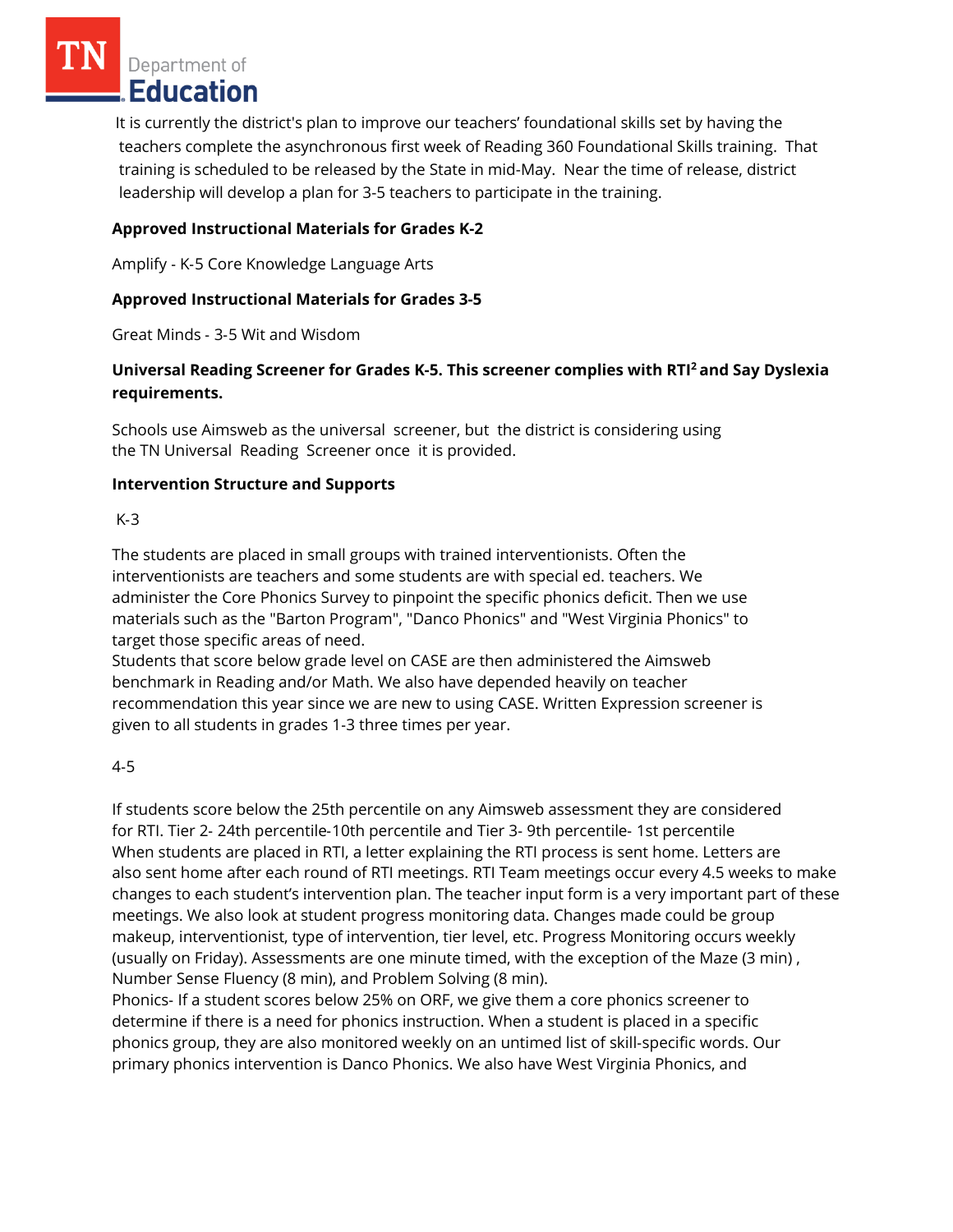Department of **Education** 

It is currently the district's plan to improve our teachers' foundational skills set by having the teachers complete the asynchronous first week of Reading 360 Foundational Skills training. That training is scheduled to be released by the State in mid-May. Near the time of release, district leadership will develop a plan for 3-5 teachers to participate in the training.

# **Approved Instructional Materials for Grades K-2**

Amplify ‐ K‐5 Core Knowledge Language Arts

# **Approved Instructional Materials for Grades 3-5**

Great Minds ‐ 3‐5 Wit and Wisdom

# **Universal Reading Screener for Grades K-5. This screener complies with RTI<sup>2</sup>and Say Dyslexia requirements.**

Schools use Aimsweb as the universal screener, but the district is considering using the TN Universal Reading Screener once it is provided.

#### **Intervention Structure and Supports**

#### K‐3

The students are placed in small groups with trained interventionists. Often the interventionists are teachers and some students are with special ed. teachers. We administer the Core Phonics Survey to pinpoint the specific phonics deficit. Then we use materials such as the "Barton Program", "Danco Phonics" and "West Virginia Phonics" to target those specific areas of need.

Students that score below grade level on CASE are then administered the Aimsweb benchmark in Reading and/or Math. We also have depended heavily on teacher recommendation this year since we are new to using CASE. Written Expression screener is given to all students in grades 1‐3 three times per year.

#### 4‐5

If students score below the 25th percentile on any Aimsweb assessment they are considered for RTI. Tier 2‐ 24th percentile‐10th percentile and Tier 3‐ 9th percentile‐ 1st percentile When students are placed in RTI, a letter explaining the RTI process is sent home. Letters are also sent home after each round of RTI meetings. RTI Team meetings occur every 4.5 weeks to make changes to each student's intervention plan. The teacher input form is a very important part of these meetings. We also look at student progress monitoring data. Changes made could be group makeup, interventionist, type of intervention, tier level, etc. Progress Monitoring occurs weekly (usually on Friday). Assessments are one minute timed, with the exception of the Maze (3 min) , Number Sense Fluency (8 min), and Problem Solving (8 min).

Phonics‐ If a student scores below 25% on ORF, we give them a core phonics screener to determine if there is a need for phonics instruction. When a student is placed in a specific phonics group, they are also monitored weekly on an untimed list of skill‐specific words. Our primary phonics intervention is Danco Phonics. We also have West Virginia Phonics, and